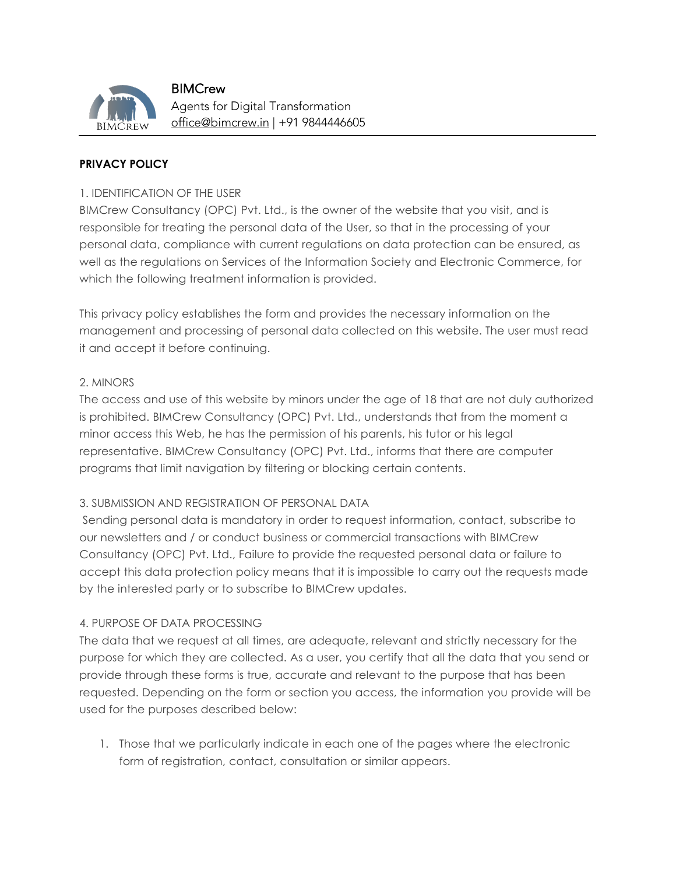

**BIMCrew** Agents for Digital Transformation office@bimcrew.in | +91 9844446605

# **PRIVACY POLICY**

### 1. IDENTIFICATION OF THE USER

BIMCrew Consultancy (OPC) Pvt. Ltd., is the owner of the website that you visit, and is responsible for treating the personal data of the User, so that in the processing of your personal data, compliance with current regulations on data protection can be ensured, as well as the regulations on Services of the Information Society and Electronic Commerce, for which the following treatment information is provided.

This privacy policy establishes the form and provides the necessary information on the management and processing of personal data collected on this website. The user must read it and accept it before continuing.

### 2. MINORS

The access and use of this website by minors under the age of 18 that are not duly authorized is prohibited. BIMCrew Consultancy (OPC) Pvt. Ltd., understands that from the moment a minor access this Web, he has the permission of his parents, his tutor or his legal representative. BIMCrew Consultancy (OPC) Pvt. Ltd., informs that there are computer programs that limit navigation by filtering or blocking certain contents.

### 3. SUBMISSION AND REGISTRATION OF PERSONAL DATA

Sending personal data is mandatory in order to request information, contact, subscribe to our newsletters and / or conduct business or commercial transactions with BIMCrew Consultancy (OPC) Pvt. Ltd., Failure to provide the requested personal data or failure to accept this data protection policy means that it is impossible to carry out the requests made by the interested party or to subscribe to BIMCrew updates.

# 4. PURPOSE OF DATA PROCESSING

The data that we request at all times, are adequate, relevant and strictly necessary for the purpose for which they are collected. As a user, you certify that all the data that you send or provide through these forms is true, accurate and relevant to the purpose that has been requested. Depending on the form or section you access, the information you provide will be used for the purposes described below:

1. Those that we particularly indicate in each one of the pages where the electronic form of registration, contact, consultation or similar appears.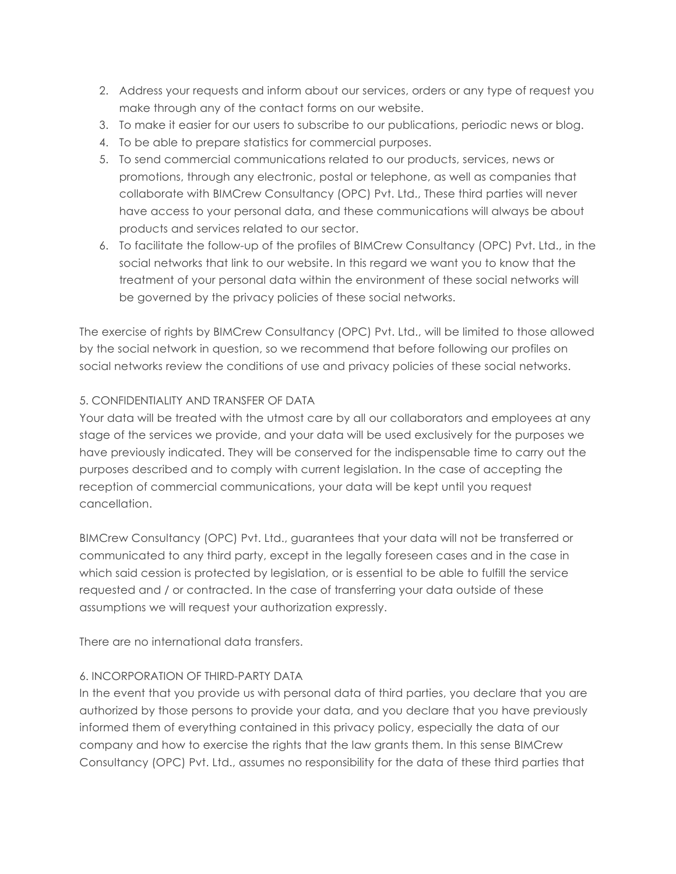- 2. Address your requests and inform about our services, orders or any type of request you make through any of the contact forms on our website.
- 3. To make it easier for our users to subscribe to our publications, periodic news or blog.
- 4. To be able to prepare statistics for commercial purposes.
- 5. To send commercial communications related to our products, services, news or promotions, through any electronic, postal or telephone, as well as companies that collaborate with BIMCrew Consultancy (OPC) Pvt. Ltd., These third parties will never have access to your personal data, and these communications will always be about products and services related to our sector.
- 6. To facilitate the follow-up of the profiles of BIMCrew Consultancy (OPC) Pvt. Ltd., in the social networks that link to our website. In this regard we want you to know that the treatment of your personal data within the environment of these social networks will be governed by the privacy policies of these social networks.

The exercise of rights by BIMCrew Consultancy (OPC) Pvt. Ltd., will be limited to those allowed by the social network in question, so we recommend that before following our profiles on social networks review the conditions of use and privacy policies of these social networks.

# 5. CONFIDENTIALITY AND TRANSFER OF DATA

Your data will be treated with the utmost care by all our collaborators and employees at any stage of the services we provide, and your data will be used exclusively for the purposes we have previously indicated. They will be conserved for the indispensable time to carry out the purposes described and to comply with current legislation. In the case of accepting the reception of commercial communications, your data will be kept until you request cancellation.

BIMCrew Consultancy (OPC) Pvt. Ltd., guarantees that your data will not be transferred or communicated to any third party, except in the legally foreseen cases and in the case in which said cession is protected by legislation, or is essential to be able to fulfill the service requested and / or contracted. In the case of transferring your data outside of these assumptions we will request your authorization expressly.

There are no international data transfers.

# 6. INCORPORATION OF THIRD-PARTY DATA

In the event that you provide us with personal data of third parties, you declare that you are authorized by those persons to provide your data, and you declare that you have previously informed them of everything contained in this privacy policy, especially the data of our company and how to exercise the rights that the law grants them. In this sense BIMCrew Consultancy (OPC) Pvt. Ltd., assumes no responsibility for the data of these third parties that